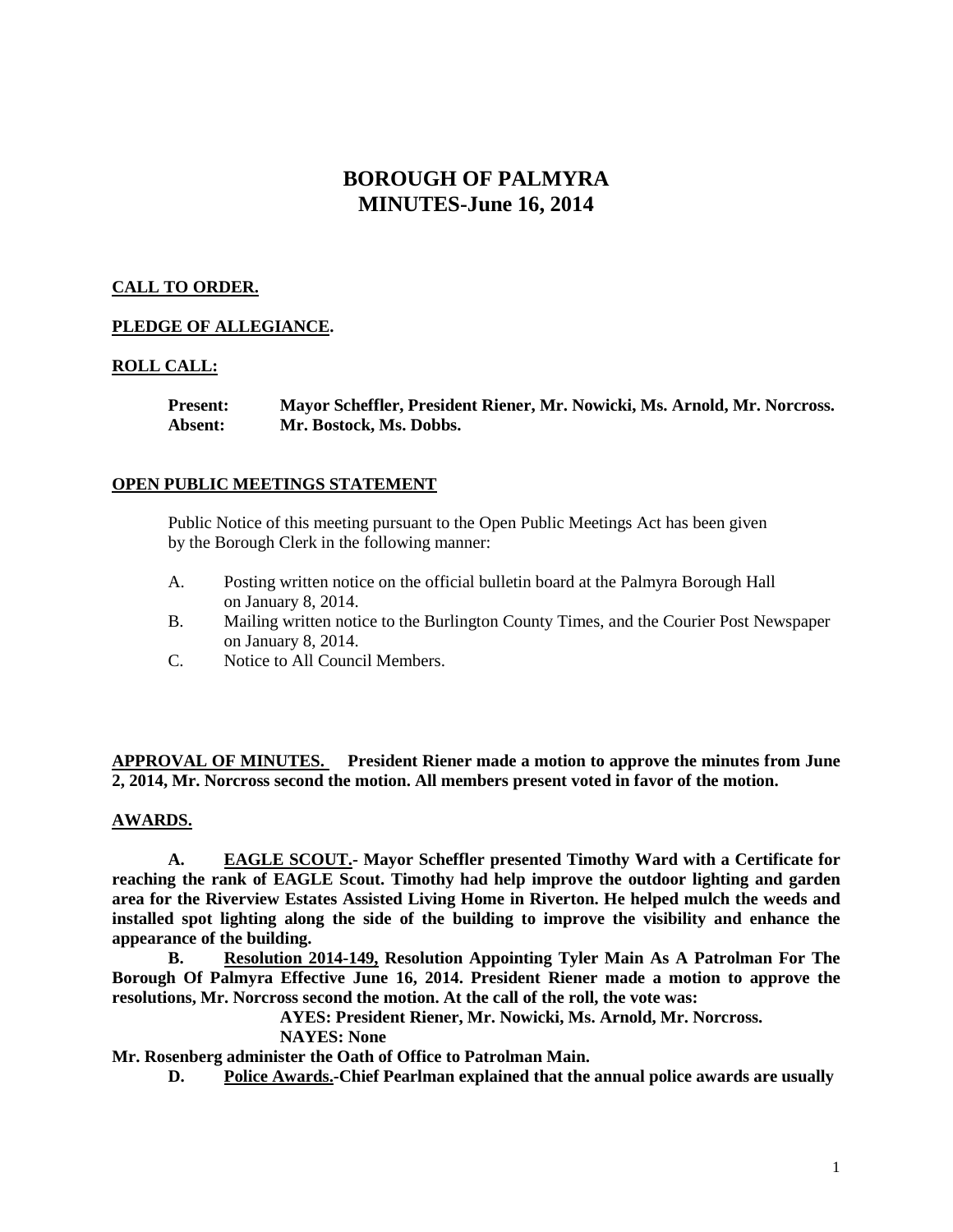# **BOROUGH OF PALMYRA MINUTES-June 16, 2014**

# **CALL TO ORDER.**

# **PLEDGE OF ALLEGIANCE.**

# **ROLL CALL:**

**Present: Mayor Scheffler, President Riener, Mr. Nowicki, Ms. Arnold, Mr. Norcross. Absent: Mr. Bostock, Ms. Dobbs.**

# **OPEN PUBLIC MEETINGS STATEMENT**

Public Notice of this meeting pursuant to the Open Public Meetings Act has been given by the Borough Clerk in the following manner:

- A. Posting written notice on the official bulletin board at the Palmyra Borough Hall on January 8, 2014.
- B. Mailing written notice to the Burlington County Times, and the Courier Post Newspaper on January 8, 2014.
- C. Notice to All Council Members.

**APPROVAL OF MINUTES. President Riener made a motion to approve the minutes from June 2, 2014, Mr. Norcross second the motion. All members present voted in favor of the motion.**

# **AWARDS.**

**A. EAGLE SCOUT.- Mayor Scheffler presented Timothy Ward with a Certificate for reaching the rank of EAGLE Scout. Timothy had help improve the outdoor lighting and garden area for the Riverview Estates Assisted Living Home in Riverton. He helped mulch the weeds and installed spot lighting along the side of the building to improve the visibility and enhance the appearance of the building.** 

**B. Resolution 2014-149, Resolution Appointing Tyler Main As A Patrolman For The Borough Of Palmyra Effective June 16, 2014. President Riener made a motion to approve the resolutions, Mr. Norcross second the motion. At the call of the roll, the vote was:**

**AYES: President Riener, Mr. Nowicki, Ms. Arnold, Mr. Norcross.**

**NAYES: None**

**Mr. Rosenberg administer the Oath of Office to Patrolman Main.** 

**D. Police Awards.-Chief Pearlman explained that the annual police awards are usually**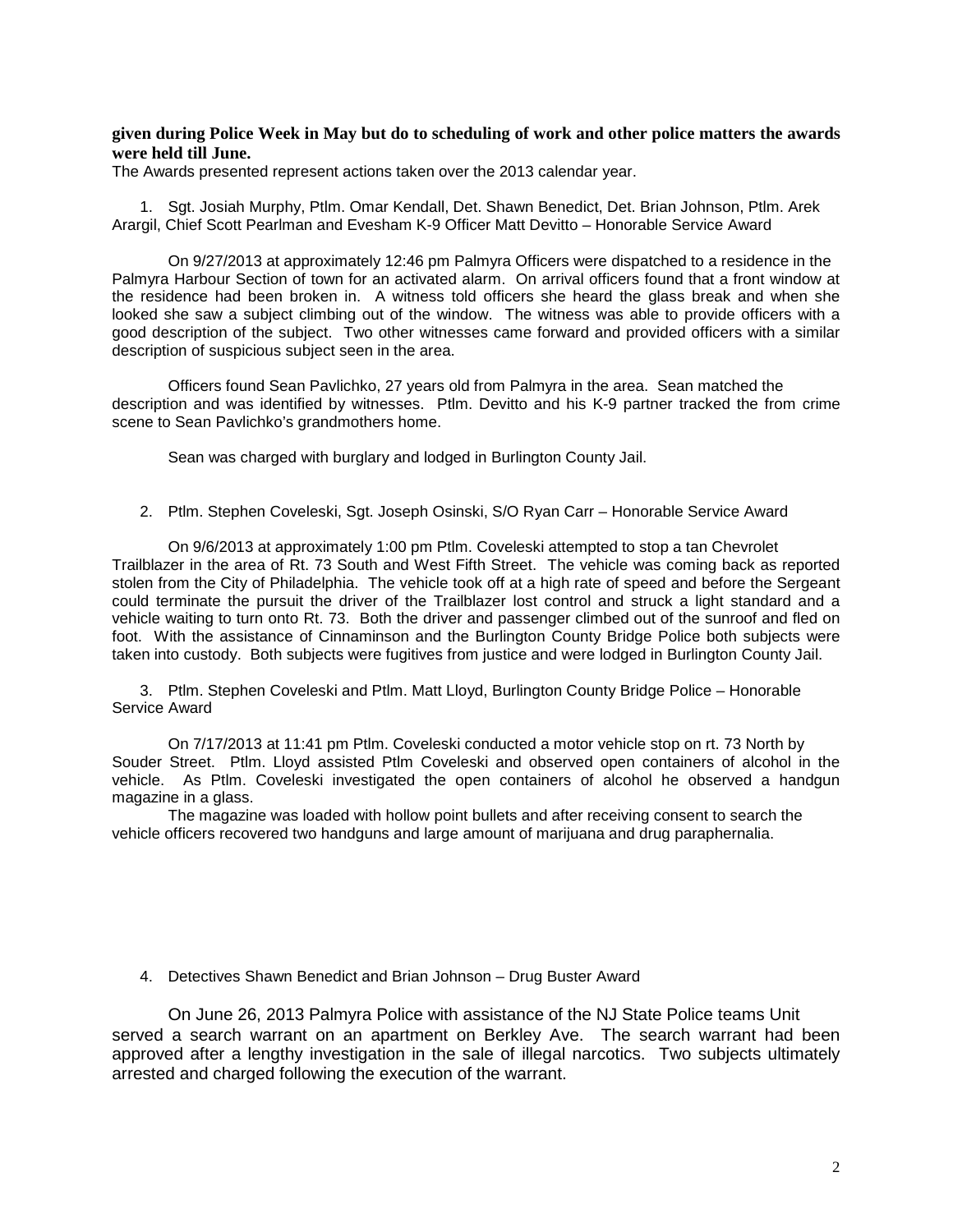### **given during Police Week in May but do to scheduling of work and other police matters the awards were held till June.**

The Awards presented represent actions taken over the 2013 calendar year.

1. Sgt. Josiah Murphy, Ptlm. Omar Kendall, Det. Shawn Benedict, Det. Brian Johnson, Ptlm. Arek Arargil, Chief Scott Pearlman and Evesham K-9 Officer Matt Devitto – Honorable Service Award

On 9/27/2013 at approximately 12:46 pm Palmyra Officers were dispatched to a residence in the Palmyra Harbour Section of town for an activated alarm. On arrival officers found that a front window at the residence had been broken in. A witness told officers she heard the glass break and when she looked she saw a subject climbing out of the window. The witness was able to provide officers with a good description of the subject. Two other witnesses came forward and provided officers with a similar description of suspicious subject seen in the area.

Officers found Sean Pavlichko, 27 years old from Palmyra in the area. Sean matched the description and was identified by witnesses. Ptlm. Devitto and his K-9 partner tracked the from crime scene to Sean Pavlichko's grandmothers home.

Sean was charged with burglary and lodged in Burlington County Jail.

#### 2. Ptlm. Stephen Coveleski, Sgt. Joseph Osinski, S/O Ryan Carr – Honorable Service Award

On 9/6/2013 at approximately 1:00 pm Ptlm. Coveleski attempted to stop a tan Chevrolet Trailblazer in the area of Rt. 73 South and West Fifth Street. The vehicle was coming back as reported stolen from the City of Philadelphia. The vehicle took off at a high rate of speed and before the Sergeant could terminate the pursuit the driver of the Trailblazer lost control and struck a light standard and a vehicle waiting to turn onto Rt. 73. Both the driver and passenger climbed out of the sunroof and fled on foot. With the assistance of Cinnaminson and the Burlington County Bridge Police both subjects were taken into custody. Both subjects were fugitives from justice and were lodged in Burlington County Jail.

3. Ptlm. Stephen Coveleski and Ptlm. Matt Lloyd, Burlington County Bridge Police – Honorable Service Award

On 7/17/2013 at 11:41 pm Ptlm. Coveleski conducted a motor vehicle stop on rt. 73 North by Souder Street. Ptlm. Lloyd assisted Ptlm Coveleski and observed open containers of alcohol in the vehicle. As Ptlm. Coveleski investigated the open containers of alcohol he observed a handgun magazine in a glass.

The magazine was loaded with hollow point bullets and after receiving consent to search the vehicle officers recovered two handguns and large amount of marijuana and drug paraphernalia.

4. Detectives Shawn Benedict and Brian Johnson – Drug Buster Award

On June 26, 2013 Palmyra Police with assistance of the NJ State Police teams Unit served a search warrant on an apartment on Berkley Ave. The search warrant had been approved after a lengthy investigation in the sale of illegal narcotics. Two subjects ultimately arrested and charged following the execution of the warrant.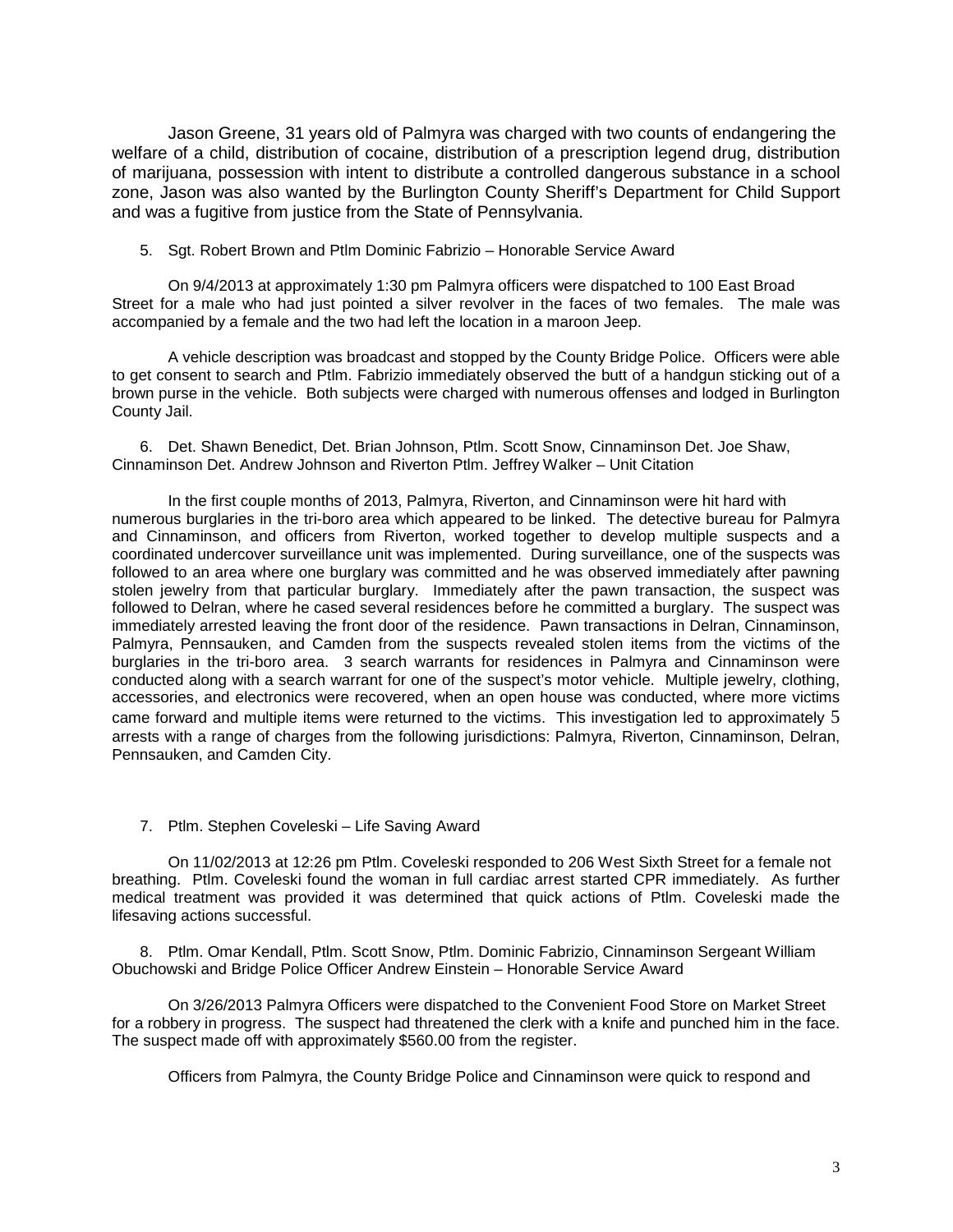Jason Greene, 31 years old of Palmyra was charged with two counts of endangering the welfare of a child, distribution of cocaine, distribution of a prescription legend drug, distribution of marijuana, possession with intent to distribute a controlled dangerous substance in a school zone, Jason was also wanted by the Burlington County Sheriff's Department for Child Support and was a fugitive from justice from the State of Pennsylvania.

#### 5. Sgt. Robert Brown and Ptlm Dominic Fabrizio – Honorable Service Award

On 9/4/2013 at approximately 1:30 pm Palmyra officers were dispatched to 100 East Broad Street for a male who had just pointed a silver revolver in the faces of two females. The male was accompanied by a female and the two had left the location in a maroon Jeep.

A vehicle description was broadcast and stopped by the County Bridge Police. Officers were able to get consent to search and Ptlm. Fabrizio immediately observed the butt of a handgun sticking out of a brown purse in the vehicle. Both subjects were charged with numerous offenses and lodged in Burlington County Jail.

6. Det. Shawn Benedict, Det. Brian Johnson, Ptlm. Scott Snow, Cinnaminson Det. Joe Shaw, Cinnaminson Det. Andrew Johnson and Riverton Ptlm. Jeffrey Walker – Unit Citation

In the first couple months of 2013, Palmyra, Riverton, and Cinnaminson were hit hard with numerous burglaries in the tri-boro area which appeared to be linked. The detective bureau for Palmyra and Cinnaminson, and officers from Riverton, worked together to develop multiple suspects and a coordinated undercover surveillance unit was implemented. During surveillance, one of the suspects was followed to an area where one burglary was committed and he was observed immediately after pawning stolen jewelry from that particular burglary. Immediately after the pawn transaction, the suspect was followed to Delran, where he cased several residences before he committed a burglary. The suspect was immediately arrested leaving the front door of the residence. Pawn transactions in Delran, Cinnaminson, Palmyra, Pennsauken, and Camden from the suspects revealed stolen items from the victims of the burglaries in the tri-boro area. 3 search warrants for residences in Palmyra and Cinnaminson were conducted along with a search warrant for one of the suspect's motor vehicle. Multiple jewelry, clothing, accessories, and electronics were recovered, when an open house was conducted, where more victims came forward and multiple items were returned to the victims. This investigation led to approximately 5 arrests with a range of charges from the following jurisdictions: Palmyra, Riverton, Cinnaminson, Delran, Pennsauken, and Camden City.

### 7. Ptlm. Stephen Coveleski – Life Saving Award

On 11/02/2013 at 12:26 pm Ptlm. Coveleski responded to 206 West Sixth Street for a female not breathing. Ptlm. Coveleski found the woman in full cardiac arrest started CPR immediately. As further medical treatment was provided it was determined that quick actions of Ptlm. Coveleski made the lifesaving actions successful.

8. Ptlm. Omar Kendall, Ptlm. Scott Snow, Ptlm. Dominic Fabrizio, Cinnaminson Sergeant William Obuchowski and Bridge Police Officer Andrew Einstein – Honorable Service Award

On 3/26/2013 Palmyra Officers were dispatched to the Convenient Food Store on Market Street for a robbery in progress. The suspect had threatened the clerk with a knife and punched him in the face. The suspect made off with approximately \$560.00 from the register.

Officers from Palmyra, the County Bridge Police and Cinnaminson were quick to respond and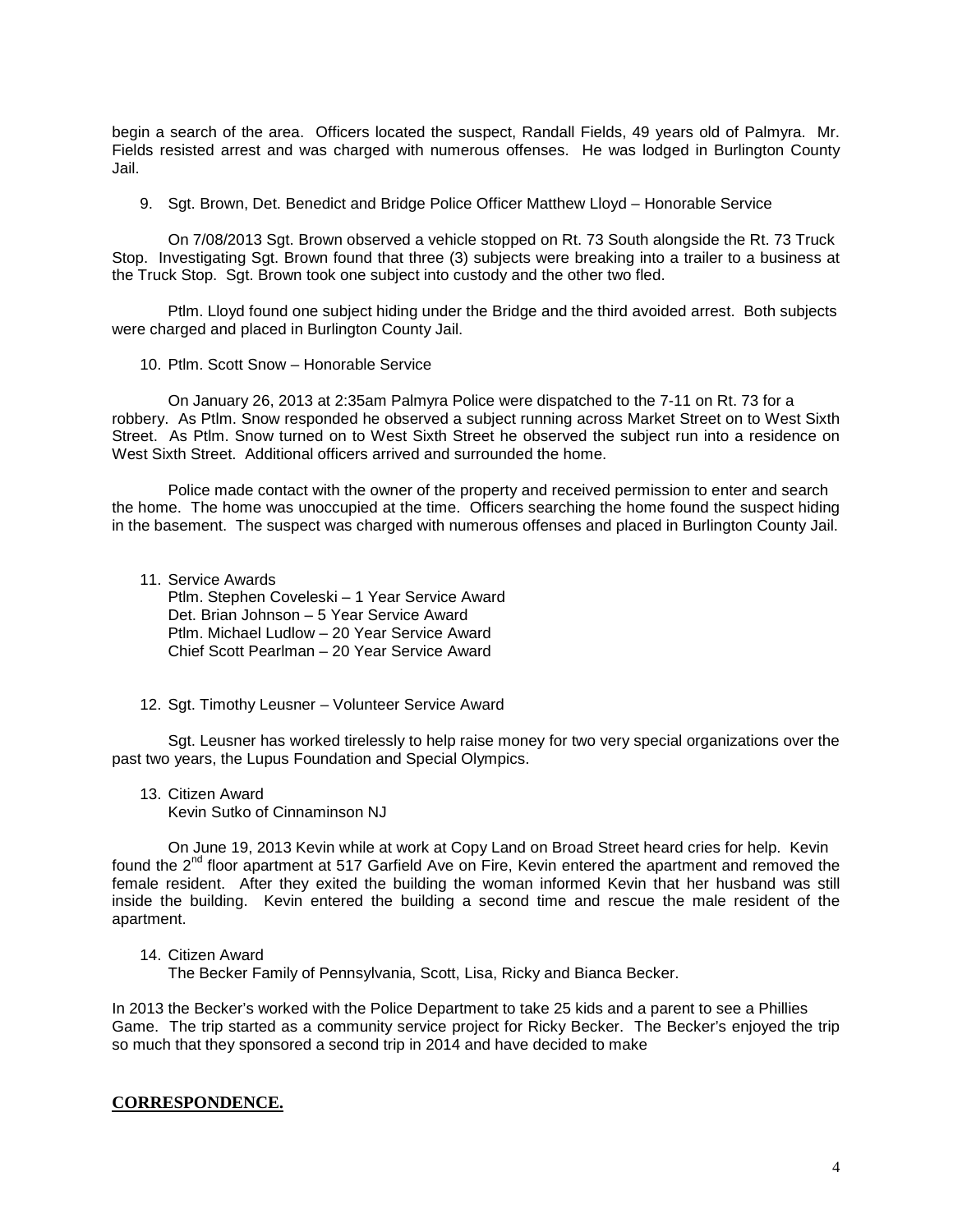begin a search of the area. Officers located the suspect, Randall Fields, 49 years old of Palmyra. Mr. Fields resisted arrest and was charged with numerous offenses. He was lodged in Burlington County Jail.

9. Sgt. Brown, Det. Benedict and Bridge Police Officer Matthew Lloyd – Honorable Service

On 7/08/2013 Sgt. Brown observed a vehicle stopped on Rt. 73 South alongside the Rt. 73 Truck Stop. Investigating Sgt. Brown found that three (3) subjects were breaking into a trailer to a business at the Truck Stop. Sgt. Brown took one subject into custody and the other two fled.

Ptlm. Lloyd found one subject hiding under the Bridge and the third avoided arrest. Both subjects were charged and placed in Burlington County Jail.

10. Ptlm. Scott Snow – Honorable Service

On January 26, 2013 at 2:35am Palmyra Police were dispatched to the 7-11 on Rt. 73 for a robbery. As Ptlm. Snow responded he observed a subject running across Market Street on to West Sixth Street. As Ptlm. Snow turned on to West Sixth Street he observed the subject run into a residence on West Sixth Street. Additional officers arrived and surrounded the home.

Police made contact with the owner of the property and received permission to enter and search the home. The home was unoccupied at the time. Officers searching the home found the suspect hiding in the basement. The suspect was charged with numerous offenses and placed in Burlington County Jail.

11. Service Awards Ptlm. Stephen Coveleski – 1 Year Service Award Det. Brian Johnson – 5 Year Service Award Ptlm. Michael Ludlow – 20 Year Service Award Chief Scott Pearlman – 20 Year Service Award

12. Sgt. Timothy Leusner – Volunteer Service Award

Sgt. Leusner has worked tirelessly to help raise money for two very special organizations over the past two years, the Lupus Foundation and Special Olympics.

13. Citizen Award

Kevin Sutko of Cinnaminson NJ

On June 19, 2013 Kevin while at work at Copy Land on Broad Street heard cries for help. Kevin found the 2<sup>nd</sup> floor apartment at 517 Garfield Ave on Fire, Kevin entered the apartment and removed the female resident. After they exited the building the woman informed Kevin that her husband was still inside the building. Kevin entered the building a second time and rescue the male resident of the apartment.

### 14. Citizen Award

The Becker Family of Pennsylvania, Scott, Lisa, Ricky and Bianca Becker.

In 2013 the Becker's worked with the Police Department to take 25 kids and a parent to see a Phillies Game. The trip started as a community service project for Ricky Becker. The Becker's enjoyed the trip so much that they sponsored a second trip in 2014 and have decided to make

### **CORRESPONDENCE.**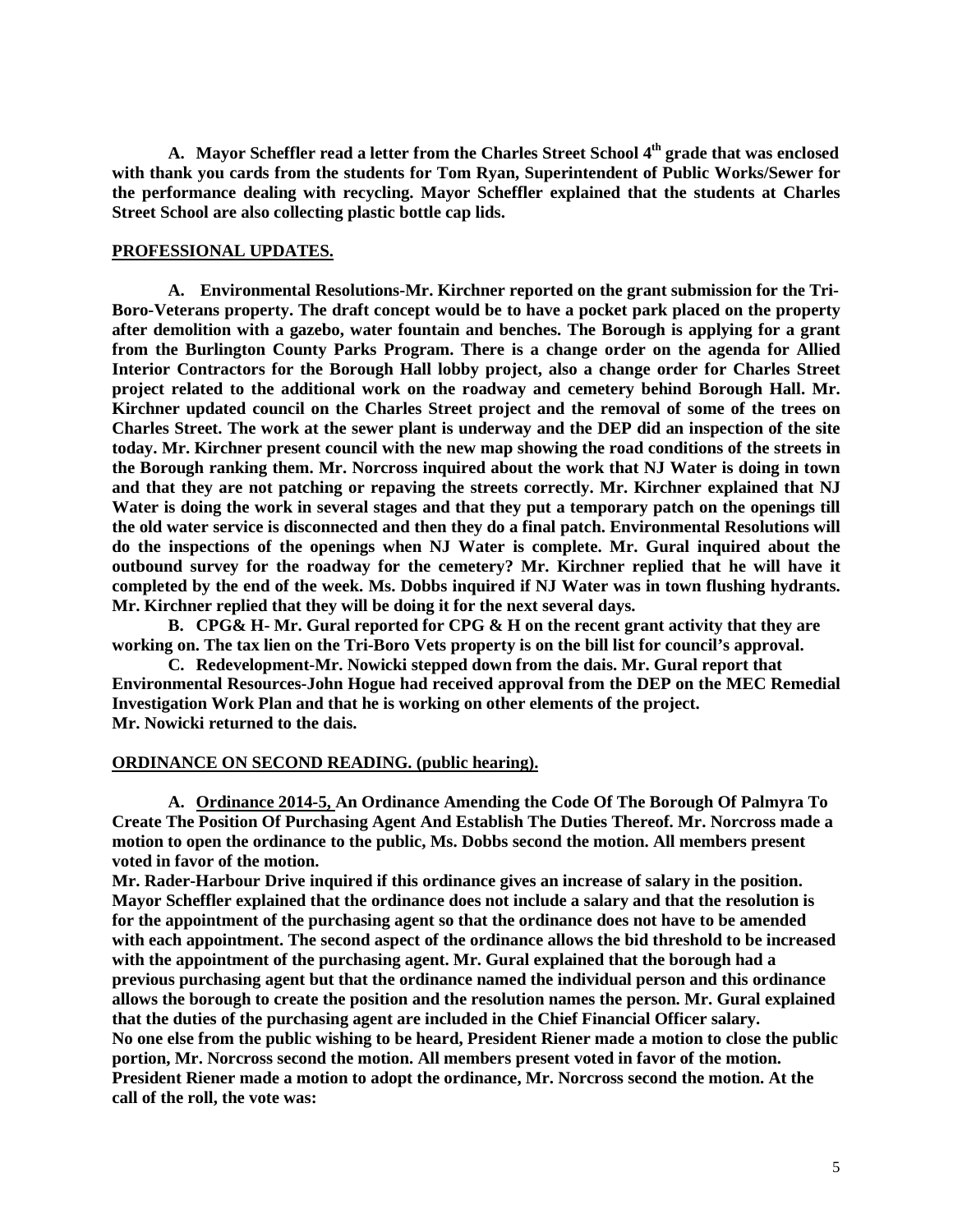A. Mayor Scheffler read a letter from the Charles Street School 4<sup>th</sup> grade that was enclosed **with thank you cards from the students for Tom Ryan, Superintendent of Public Works/Sewer for the performance dealing with recycling. Mayor Scheffler explained that the students at Charles Street School are also collecting plastic bottle cap lids.** 

### **PROFESSIONAL UPDATES.**

**A. Environmental Resolutions-Mr. Kirchner reported on the grant submission for the Tri-Boro-Veterans property. The draft concept would be to have a pocket park placed on the property after demolition with a gazebo, water fountain and benches. The Borough is applying for a grant from the Burlington County Parks Program. There is a change order on the agenda for Allied Interior Contractors for the Borough Hall lobby project, also a change order for Charles Street project related to the additional work on the roadway and cemetery behind Borough Hall. Mr. Kirchner updated council on the Charles Street project and the removal of some of the trees on Charles Street. The work at the sewer plant is underway and the DEP did an inspection of the site today. Mr. Kirchner present council with the new map showing the road conditions of the streets in the Borough ranking them. Mr. Norcross inquired about the work that NJ Water is doing in town and that they are not patching or repaving the streets correctly. Mr. Kirchner explained that NJ Water is doing the work in several stages and that they put a temporary patch on the openings till the old water service is disconnected and then they do a final patch. Environmental Resolutions will do the inspections of the openings when NJ Water is complete. Mr. Gural inquired about the outbound survey for the roadway for the cemetery? Mr. Kirchner replied that he will have it completed by the end of the week. Ms. Dobbs inquired if NJ Water was in town flushing hydrants. Mr. Kirchner replied that they will be doing it for the next several days.** 

**B. CPG& H- Mr. Gural reported for CPG & H on the recent grant activity that they are working on. The tax lien on the Tri-Boro Vets property is on the bill list for council's approval.**

**C. Redevelopment-Mr. Nowicki stepped down from the dais. Mr. Gural report that Environmental Resources-John Hogue had received approval from the DEP on the MEC Remedial Investigation Work Plan and that he is working on other elements of the project. Mr. Nowicki returned to the dais.** 

### **ORDINANCE ON SECOND READING. (public hearing).**

**A. Ordinance 2014-5, An Ordinance Amending the Code Of The Borough Of Palmyra To Create The Position Of Purchasing Agent And Establish The Duties Thereof. Mr. Norcross made a motion to open the ordinance to the public, Ms. Dobbs second the motion. All members present voted in favor of the motion.** 

**Mr. Rader-Harbour Drive inquired if this ordinance gives an increase of salary in the position. Mayor Scheffler explained that the ordinance does not include a salary and that the resolution is for the appointment of the purchasing agent so that the ordinance does not have to be amended with each appointment. The second aspect of the ordinance allows the bid threshold to be increased with the appointment of the purchasing agent. Mr. Gural explained that the borough had a previous purchasing agent but that the ordinance named the individual person and this ordinance allows the borough to create the position and the resolution names the person. Mr. Gural explained that the duties of the purchasing agent are included in the Chief Financial Officer salary. No one else from the public wishing to be heard, President Riener made a motion to close the public portion, Mr. Norcross second the motion. All members present voted in favor of the motion. President Riener made a motion to adopt the ordinance, Mr. Norcross second the motion. At the call of the roll, the vote was:**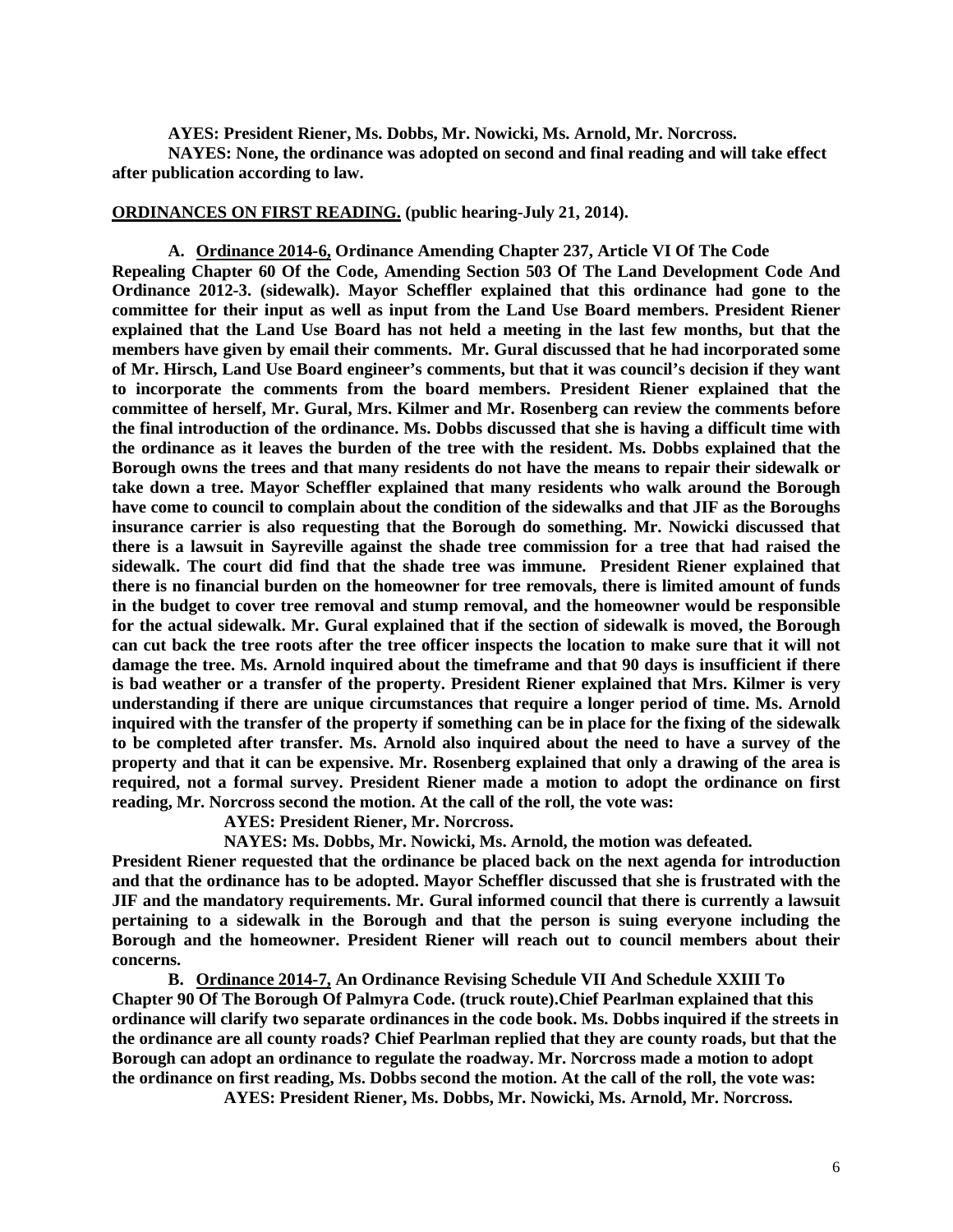**AYES: President Riener, Ms. Dobbs, Mr. Nowicki, Ms. Arnold, Mr. Norcross.**

**NAYES: None, the ordinance was adopted on second and final reading and will take effect after publication according to law.** 

**ORDINANCES ON FIRST READING. (public hearing-July 21, 2014).**

**A. Ordinance 2014-6, Ordinance Amending Chapter 237, Article VI Of The Code Repealing Chapter 60 Of the Code, Amending Section 503 Of The Land Development Code And Ordinance 2012-3. (sidewalk). Mayor Scheffler explained that this ordinance had gone to the committee for their input as well as input from the Land Use Board members. President Riener explained that the Land Use Board has not held a meeting in the last few months, but that the members have given by email their comments. Mr. Gural discussed that he had incorporated some of Mr. Hirsch, Land Use Board engineer's comments, but that it was council's decision if they want to incorporate the comments from the board members. President Riener explained that the committee of herself, Mr. Gural, Mrs. Kilmer and Mr. Rosenberg can review the comments before the final introduction of the ordinance. Ms. Dobbs discussed that she is having a difficult time with the ordinance as it leaves the burden of the tree with the resident. Ms. Dobbs explained that the Borough owns the trees and that many residents do not have the means to repair their sidewalk or take down a tree. Mayor Scheffler explained that many residents who walk around the Borough have come to council to complain about the condition of the sidewalks and that JIF as the Boroughs insurance carrier is also requesting that the Borough do something. Mr. Nowicki discussed that there is a lawsuit in Sayreville against the shade tree commission for a tree that had raised the sidewalk. The court did find that the shade tree was immune. President Riener explained that there is no financial burden on the homeowner for tree removals, there is limited amount of funds in the budget to cover tree removal and stump removal, and the homeowner would be responsible for the actual sidewalk. Mr. Gural explained that if the section of sidewalk is moved, the Borough can cut back the tree roots after the tree officer inspects the location to make sure that it will not damage the tree. Ms. Arnold inquired about the timeframe and that 90 days is insufficient if there is bad weather or a transfer of the property. President Riener explained that Mrs. Kilmer is very understanding if there are unique circumstances that require a longer period of time. Ms. Arnold inquired with the transfer of the property if something can be in place for the fixing of the sidewalk to be completed after transfer. Ms. Arnold also inquired about the need to have a survey of the property and that it can be expensive. Mr. Rosenberg explained that only a drawing of the area is required, not a formal survey. President Riener made a motion to adopt the ordinance on first reading, Mr. Norcross second the motion. At the call of the roll, the vote was:**

**AYES: President Riener, Mr. Norcross.**

**NAYES: Ms. Dobbs, Mr. Nowicki, Ms. Arnold, the motion was defeated.**

**President Riener requested that the ordinance be placed back on the next agenda for introduction and that the ordinance has to be adopted. Mayor Scheffler discussed that she is frustrated with the JIF and the mandatory requirements. Mr. Gural informed council that there is currently a lawsuit pertaining to a sidewalk in the Borough and that the person is suing everyone including the Borough and the homeowner. President Riener will reach out to council members about their concerns.**

**B. Ordinance 2014-7, An Ordinance Revising Schedule VII And Schedule XXIII To Chapter 90 Of The Borough Of Palmyra Code. (truck route).Chief Pearlman explained that this ordinance will clarify two separate ordinances in the code book. Ms. Dobbs inquired if the streets in the ordinance are all county roads? Chief Pearlman replied that they are county roads, but that the Borough can adopt an ordinance to regulate the roadway. Mr. Norcross made a motion to adopt the ordinance on first reading, Ms. Dobbs second the motion. At the call of the roll, the vote was:**

**AYES: President Riener, Ms. Dobbs, Mr. Nowicki, Ms. Arnold, Mr. Norcross.**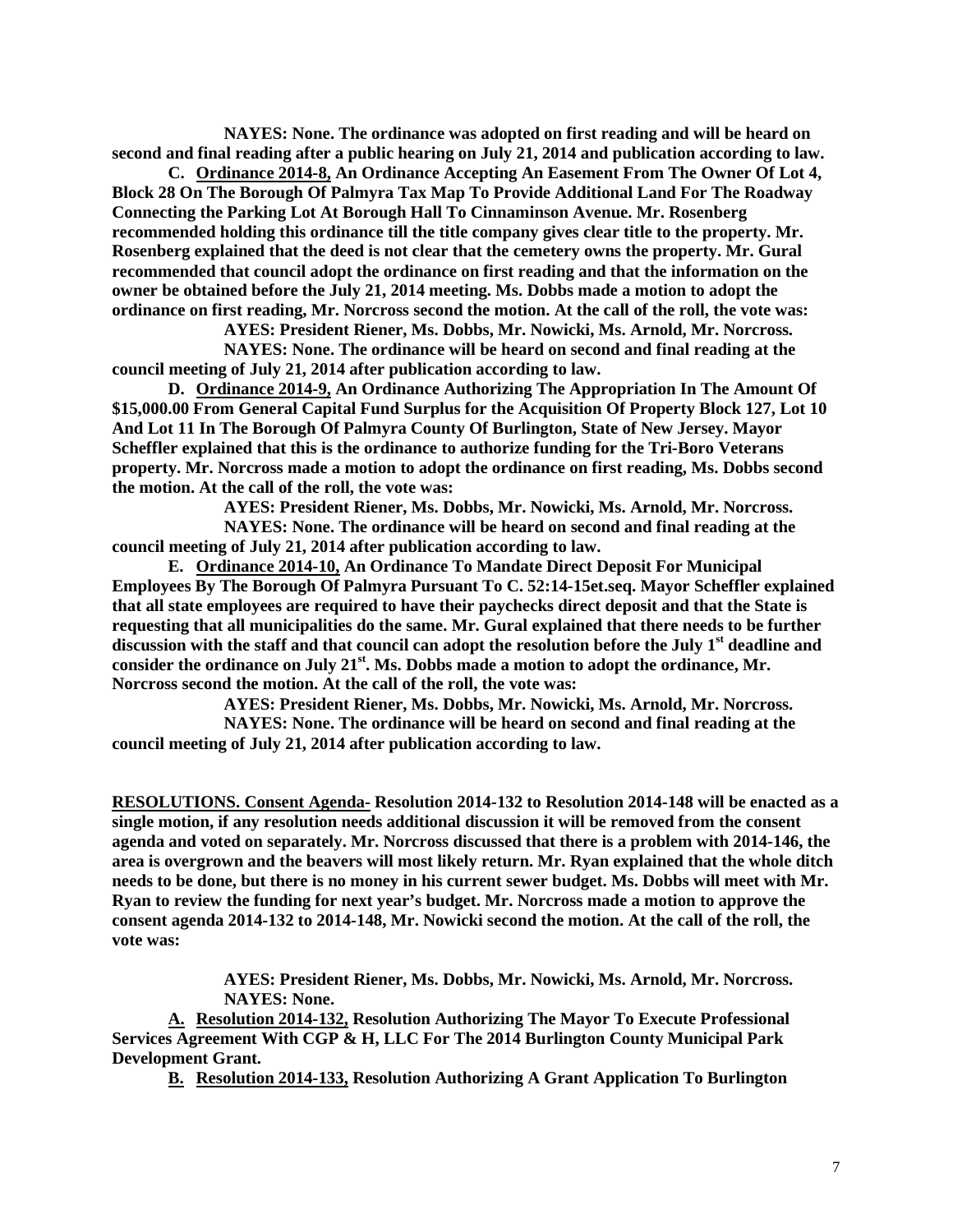**NAYES: None. The ordinance was adopted on first reading and will be heard on second and final reading after a public hearing on July 21, 2014 and publication according to law.** 

**C. Ordinance 2014-8, An Ordinance Accepting An Easement From The Owner Of Lot 4, Block 28 On The Borough Of Palmyra Tax Map To Provide Additional Land For The Roadway Connecting the Parking Lot At Borough Hall To Cinnaminson Avenue. Mr. Rosenberg recommended holding this ordinance till the title company gives clear title to the property. Mr. Rosenberg explained that the deed is not clear that the cemetery owns the property. Mr. Gural recommended that council adopt the ordinance on first reading and that the information on the owner be obtained before the July 21, 2014 meeting. Ms. Dobbs made a motion to adopt the ordinance on first reading, Mr. Norcross second the motion. At the call of the roll, the vote was:**

**AYES: President Riener, Ms. Dobbs, Mr. Nowicki, Ms. Arnold, Mr. Norcross.**

**NAYES: None. The ordinance will be heard on second and final reading at the council meeting of July 21, 2014 after publication according to law.** 

**D. Ordinance 2014-9, An Ordinance Authorizing The Appropriation In The Amount Of \$15,000.00 From General Capital Fund Surplus for the Acquisition Of Property Block 127, Lot 10 And Lot 11 In The Borough Of Palmyra County Of Burlington, State of New Jersey. Mayor Scheffler explained that this is the ordinance to authorize funding for the Tri-Boro Veterans property. Mr. Norcross made a motion to adopt the ordinance on first reading, Ms. Dobbs second the motion. At the call of the roll, the vote was:**

**AYES: President Riener, Ms. Dobbs, Mr. Nowicki, Ms. Arnold, Mr. Norcross. NAYES: None. The ordinance will be heard on second and final reading at the** 

**council meeting of July 21, 2014 after publication according to law.**

**E. Ordinance 2014-10, An Ordinance To Mandate Direct Deposit For Municipal Employees By The Borough Of Palmyra Pursuant To C. 52:14-15et.seq. Mayor Scheffler explained that all state employees are required to have their paychecks direct deposit and that the State is requesting that all municipalities do the same. Mr. Gural explained that there needs to be further discussion with the staff and that council can adopt the resolution before the July 1st deadline and**  consider the ordinance on July 21<sup>st</sup>. Ms. Dobbs made a motion to adopt the ordinance, Mr. **Norcross second the motion. At the call of the roll, the vote was:**

**AYES: President Riener, Ms. Dobbs, Mr. Nowicki, Ms. Arnold, Mr. Norcross.**

**NAYES: None. The ordinance will be heard on second and final reading at the council meeting of July 21, 2014 after publication according to law.** 

**RESOLUTIONS. Consent Agenda- Resolution 2014-132 to Resolution 2014-148 will be enacted as a single motion, if any resolution needs additional discussion it will be removed from the consent agenda and voted on separately. Mr. Norcross discussed that there is a problem with 2014-146, the area is overgrown and the beavers will most likely return. Mr. Ryan explained that the whole ditch needs to be done, but there is no money in his current sewer budget. Ms. Dobbs will meet with Mr. Ryan to review the funding for next year's budget. Mr. Norcross made a motion to approve the consent agenda 2014-132 to 2014-148, Mr. Nowicki second the motion. At the call of the roll, the vote was:**

> **AYES: President Riener, Ms. Dobbs, Mr. Nowicki, Ms. Arnold, Mr. Norcross. NAYES: None.**

**A. Resolution 2014-132, Resolution Authorizing The Mayor To Execute Professional Services Agreement With CGP & H, LLC For The 2014 Burlington County Municipal Park Development Grant.**

**B. Resolution 2014-133, Resolution Authorizing A Grant Application To Burlington**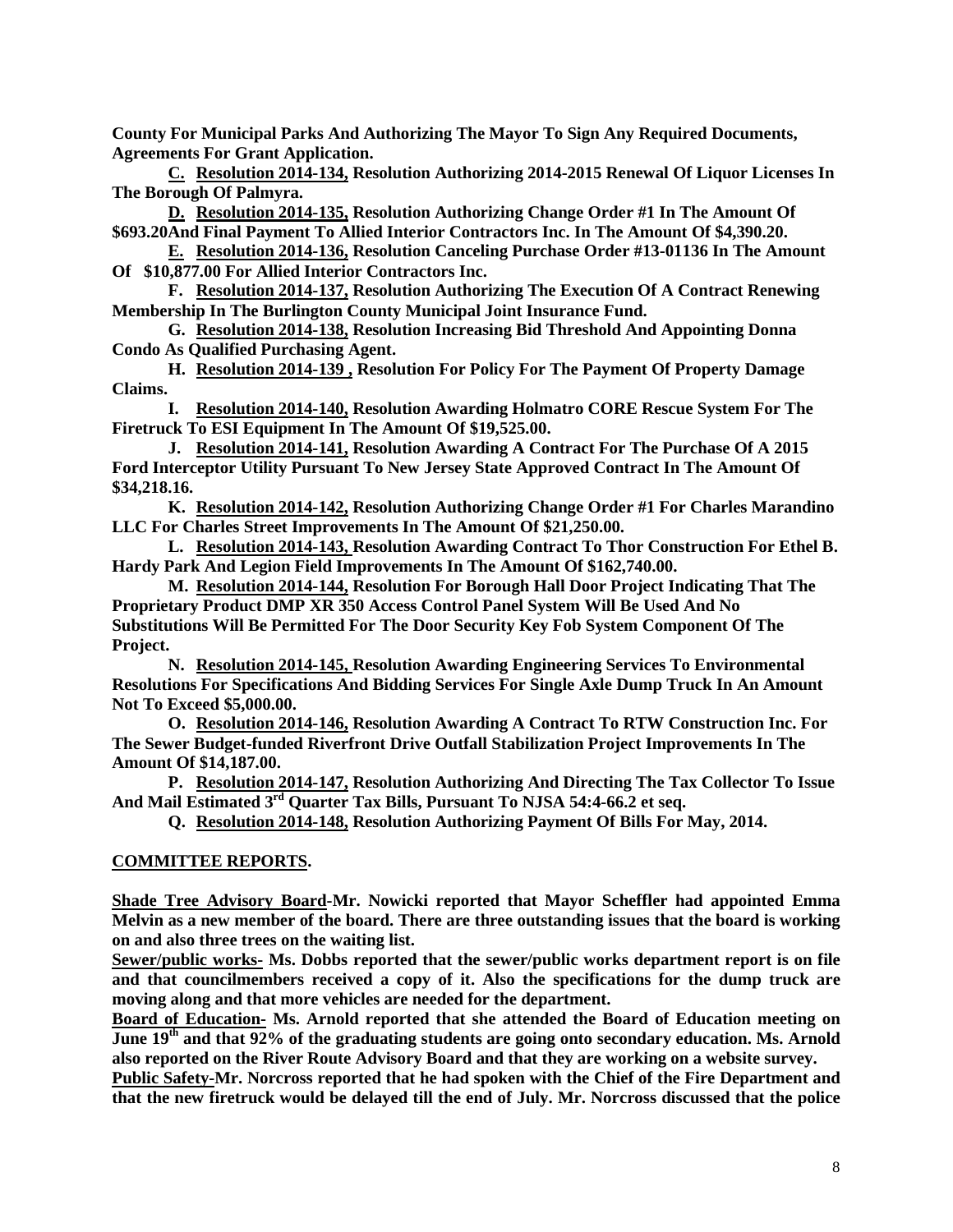**County For Municipal Parks And Authorizing The Mayor To Sign Any Required Documents, Agreements For Grant Application.**

**C. Resolution 2014-134, Resolution Authorizing 2014-2015 Renewal Of Liquor Licenses In The Borough Of Palmyra.** 

**D. Resolution 2014-135, Resolution Authorizing Change Order #1 In The Amount Of \$693.20And Final Payment To Allied Interior Contractors Inc. In The Amount Of \$4,390.20.**

**E. Resolution 2014-136, Resolution Canceling Purchase Order #13-01136 In The Amount Of \$10,877.00 For Allied Interior Contractors Inc.** 

**F. Resolution 2014-137, Resolution Authorizing The Execution Of A Contract Renewing Membership In The Burlington County Municipal Joint Insurance Fund.**

**G. Resolution 2014-138, Resolution Increasing Bid Threshold And Appointing Donna Condo As Qualified Purchasing Agent.**

**H. Resolution 2014-139 , Resolution For Policy For The Payment Of Property Damage Claims.**

**I. Resolution 2014-140, Resolution Awarding Holmatro CORE Rescue System For The Firetruck To ESI Equipment In The Amount Of \$19,525.00.**

**J. Resolution 2014-141, Resolution Awarding A Contract For The Purchase Of A 2015 Ford Interceptor Utility Pursuant To New Jersey State Approved Contract In The Amount Of \$34,218.16.**

**K. Resolution 2014-142, Resolution Authorizing Change Order #1 For Charles Marandino LLC For Charles Street Improvements In The Amount Of \$21,250.00.** 

**L. Resolution 2014-143, Resolution Awarding Contract To Thor Construction For Ethel B. Hardy Park And Legion Field Improvements In The Amount Of \$162,740.00.**

**M. Resolution 2014-144, Resolution For Borough Hall Door Project Indicating That The Proprietary Product DMP XR 350 Access Control Panel System Will Be Used And No Substitutions Will Be Permitted For The Door Security Key Fob System Component Of The Project.**

**N. Resolution 2014-145, Resolution Awarding Engineering Services To Environmental Resolutions For Specifications And Bidding Services For Single Axle Dump Truck In An Amount Not To Exceed \$5,000.00.**

**O. Resolution 2014-146, Resolution Awarding A Contract To RTW Construction Inc. For The Sewer Budget-funded Riverfront Drive Outfall Stabilization Project Improvements In The Amount Of \$14,187.00.**

**P. Resolution 2014-147, Resolution Authorizing And Directing The Tax Collector To Issue And Mail Estimated 3rd Quarter Tax Bills, Pursuant To NJSA 54:4-66.2 et seq.** 

**Q. Resolution 2014-148, Resolution Authorizing Payment Of Bills For May, 2014.** 

# **COMMITTEE REPORTS.**

**Shade Tree Advisory Board-Mr. Nowicki reported that Mayor Scheffler had appointed Emma Melvin as a new member of the board. There are three outstanding issues that the board is working on and also three trees on the waiting list.** 

**Sewer/public works- Ms. Dobbs reported that the sewer/public works department report is on file and that councilmembers received a copy of it. Also the specifications for the dump truck are moving along and that more vehicles are needed for the department.** 

**Board of Education- Ms. Arnold reported that she attended the Board of Education meeting on June 19th and that 92% of the graduating students are going onto secondary education. Ms. Arnold also reported on the River Route Advisory Board and that they are working on a website survey.**

**Public Safety-Mr. Norcross reported that he had spoken with the Chief of the Fire Department and that the new firetruck would be delayed till the end of July. Mr. Norcross discussed that the police**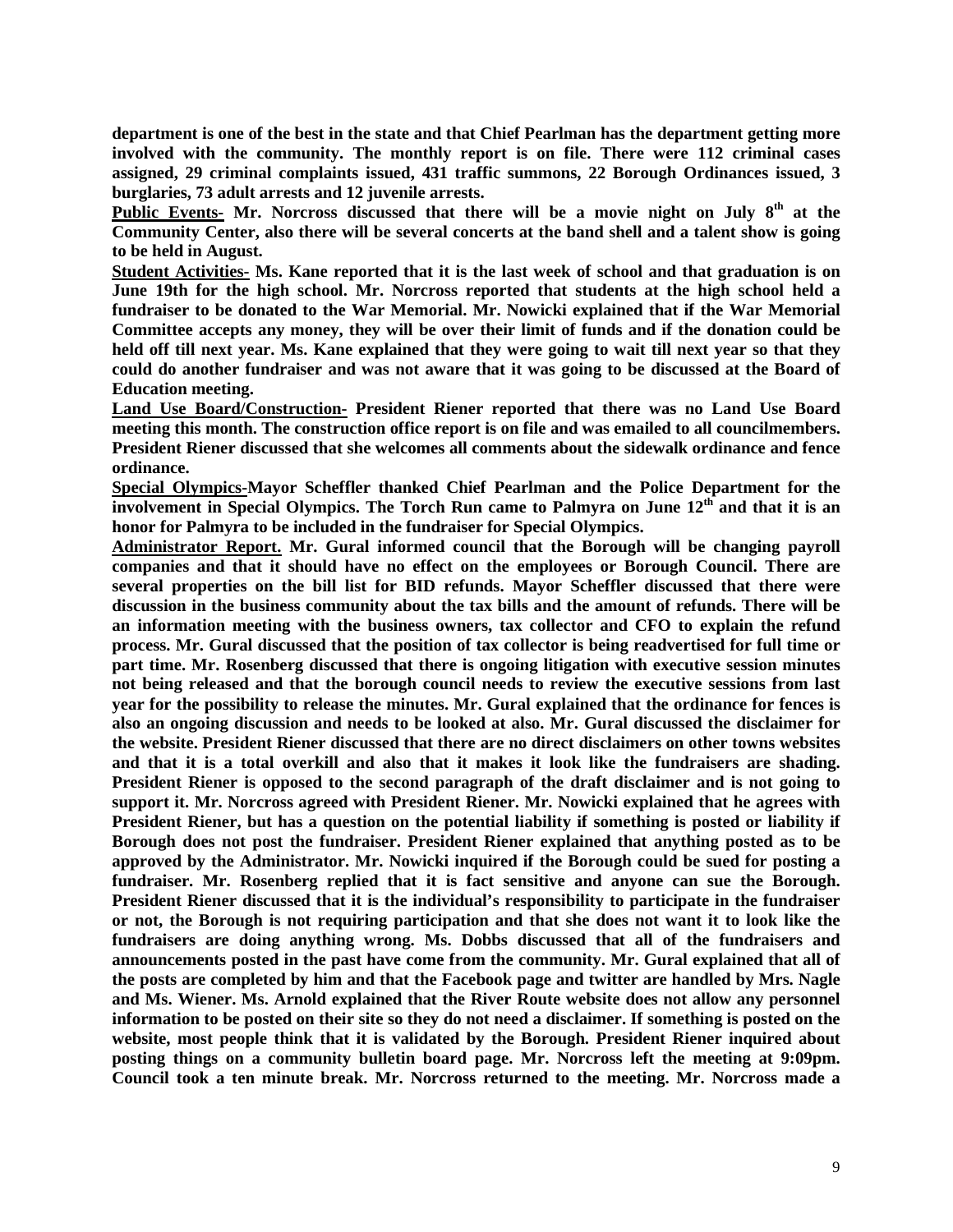**department is one of the best in the state and that Chief Pearlman has the department getting more involved with the community. The monthly report is on file. There were 112 criminal cases assigned, 29 criminal complaints issued, 431 traffic summons, 22 Borough Ordinances issued, 3 burglaries, 73 adult arrests and 12 juvenile arrests.**

Public Events- Mr. Norcross discussed that there will be a movie night on July 8<sup>th</sup> at the **Community Center, also there will be several concerts at the band shell and a talent show is going to be held in August.** 

**Student Activities- Ms. Kane reported that it is the last week of school and that graduation is on June 19th for the high school. Mr. Norcross reported that students at the high school held a fundraiser to be donated to the War Memorial. Mr. Nowicki explained that if the War Memorial Committee accepts any money, they will be over their limit of funds and if the donation could be held off till next year. Ms. Kane explained that they were going to wait till next year so that they could do another fundraiser and was not aware that it was going to be discussed at the Board of Education meeting.** 

**Land Use Board/Construction- President Riener reported that there was no Land Use Board meeting this month. The construction office report is on file and was emailed to all councilmembers. President Riener discussed that she welcomes all comments about the sidewalk ordinance and fence ordinance.** 

**Special Olympics-Mayor Scheffler thanked Chief Pearlman and the Police Department for the involvement in Special Olympics. The Torch Run came to Palmyra on June 12th and that it is an honor for Palmyra to be included in the fundraiser for Special Olympics.** 

**Administrator Report. Mr. Gural informed council that the Borough will be changing payroll companies and that it should have no effect on the employees or Borough Council. There are several properties on the bill list for BID refunds. Mayor Scheffler discussed that there were discussion in the business community about the tax bills and the amount of refunds. There will be an information meeting with the business owners, tax collector and CFO to explain the refund process. Mr. Gural discussed that the position of tax collector is being readvertised for full time or part time. Mr. Rosenberg discussed that there is ongoing litigation with executive session minutes not being released and that the borough council needs to review the executive sessions from last year for the possibility to release the minutes. Mr. Gural explained that the ordinance for fences is also an ongoing discussion and needs to be looked at also. Mr. Gural discussed the disclaimer for the website. President Riener discussed that there are no direct disclaimers on other towns websites and that it is a total overkill and also that it makes it look like the fundraisers are shading. President Riener is opposed to the second paragraph of the draft disclaimer and is not going to support it. Mr. Norcross agreed with President Riener. Mr. Nowicki explained that he agrees with President Riener, but has a question on the potential liability if something is posted or liability if Borough does not post the fundraiser. President Riener explained that anything posted as to be approved by the Administrator. Mr. Nowicki inquired if the Borough could be sued for posting a fundraiser. Mr. Rosenberg replied that it is fact sensitive and anyone can sue the Borough. President Riener discussed that it is the individual's responsibility to participate in the fundraiser or not, the Borough is not requiring participation and that she does not want it to look like the fundraisers are doing anything wrong. Ms. Dobbs discussed that all of the fundraisers and announcements posted in the past have come from the community. Mr. Gural explained that all of the posts are completed by him and that the Facebook page and twitter are handled by Mrs. Nagle and Ms. Wiener. Ms. Arnold explained that the River Route website does not allow any personnel information to be posted on their site so they do not need a disclaimer. If something is posted on the website, most people think that it is validated by the Borough. President Riener inquired about posting things on a community bulletin board page. Mr. Norcross left the meeting at 9:09pm. Council took a ten minute break. Mr. Norcross returned to the meeting. Mr. Norcross made a**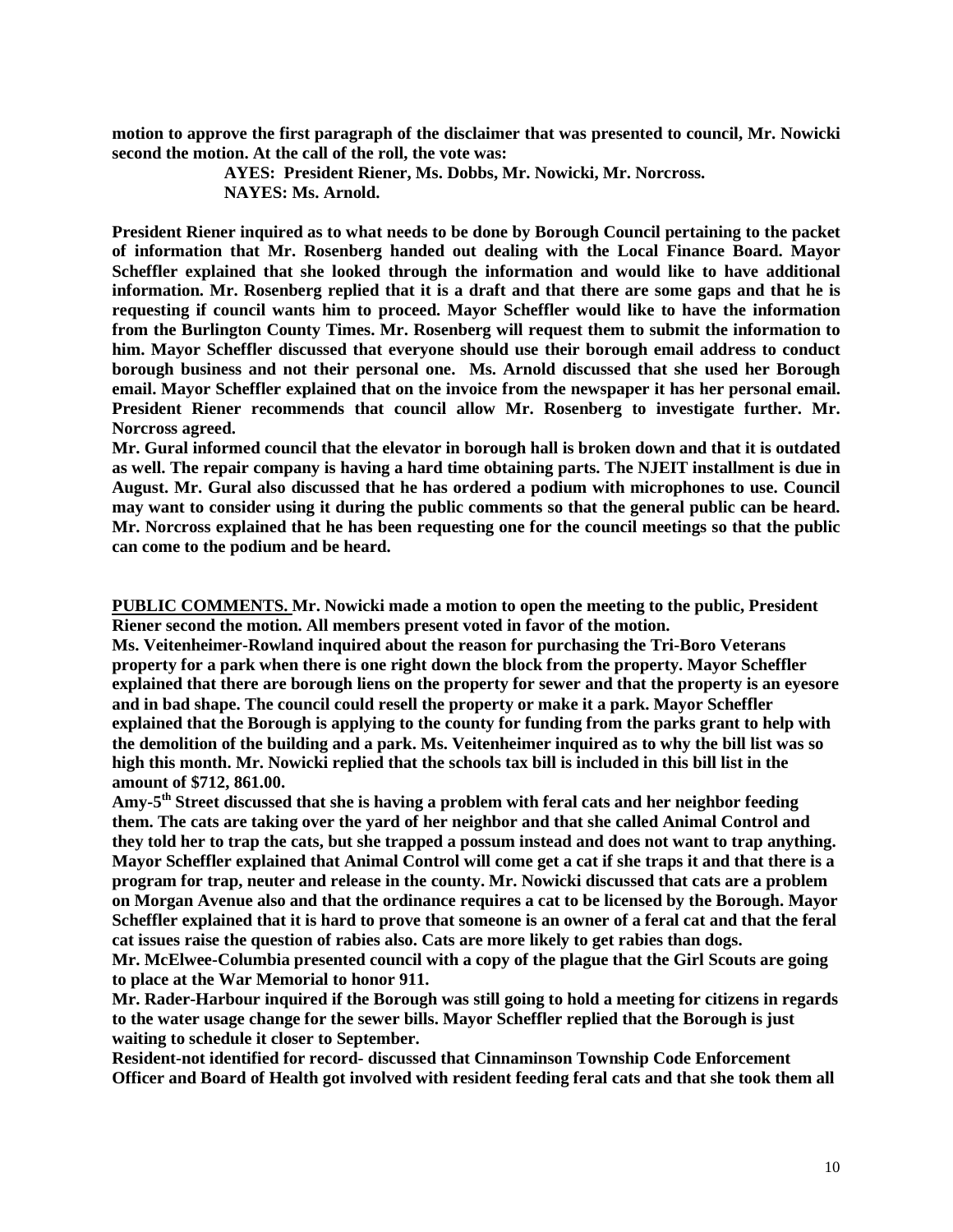**motion to approve the first paragraph of the disclaimer that was presented to council, Mr. Nowicki second the motion. At the call of the roll, the vote was:**

> **AYES: President Riener, Ms. Dobbs, Mr. Nowicki, Mr. Norcross. NAYES: Ms. Arnold.**

**President Riener inquired as to what needs to be done by Borough Council pertaining to the packet of information that Mr. Rosenberg handed out dealing with the Local Finance Board. Mayor Scheffler explained that she looked through the information and would like to have additional information. Mr. Rosenberg replied that it is a draft and that there are some gaps and that he is requesting if council wants him to proceed. Mayor Scheffler would like to have the information from the Burlington County Times. Mr. Rosenberg will request them to submit the information to him. Mayor Scheffler discussed that everyone should use their borough email address to conduct borough business and not their personal one. Ms. Arnold discussed that she used her Borough email. Mayor Scheffler explained that on the invoice from the newspaper it has her personal email. President Riener recommends that council allow Mr. Rosenberg to investigate further. Mr. Norcross agreed.** 

**Mr. Gural informed council that the elevator in borough hall is broken down and that it is outdated as well. The repair company is having a hard time obtaining parts. The NJEIT installment is due in August. Mr. Gural also discussed that he has ordered a podium with microphones to use. Council may want to consider using it during the public comments so that the general public can be heard. Mr. Norcross explained that he has been requesting one for the council meetings so that the public can come to the podium and be heard.** 

**PUBLIC COMMENTS. Mr. Nowicki made a motion to open the meeting to the public, President Riener second the motion. All members present voted in favor of the motion.** 

**Ms. Veitenheimer-Rowland inquired about the reason for purchasing the Tri-Boro Veterans property for a park when there is one right down the block from the property. Mayor Scheffler explained that there are borough liens on the property for sewer and that the property is an eyesore and in bad shape. The council could resell the property or make it a park. Mayor Scheffler explained that the Borough is applying to the county for funding from the parks grant to help with the demolition of the building and a park. Ms. Veitenheimer inquired as to why the bill list was so high this month. Mr. Nowicki replied that the schools tax bill is included in this bill list in the amount of \$712, 861.00.**

**Amy-5th Street discussed that she is having a problem with feral cats and her neighbor feeding them. The cats are taking over the yard of her neighbor and that she called Animal Control and they told her to trap the cats, but she trapped a possum instead and does not want to trap anything. Mayor Scheffler explained that Animal Control will come get a cat if she traps it and that there is a program for trap, neuter and release in the county. Mr. Nowicki discussed that cats are a problem on Morgan Avenue also and that the ordinance requires a cat to be licensed by the Borough. Mayor Scheffler explained that it is hard to prove that someone is an owner of a feral cat and that the feral cat issues raise the question of rabies also. Cats are more likely to get rabies than dogs.** 

**Mr. McElwee-Columbia presented council with a copy of the plague that the Girl Scouts are going to place at the War Memorial to honor 911.** 

**Mr. Rader-Harbour inquired if the Borough was still going to hold a meeting for citizens in regards to the water usage change for the sewer bills. Mayor Scheffler replied that the Borough is just waiting to schedule it closer to September.** 

**Resident-not identified for record- discussed that Cinnaminson Township Code Enforcement Officer and Board of Health got involved with resident feeding feral cats and that she took them all**